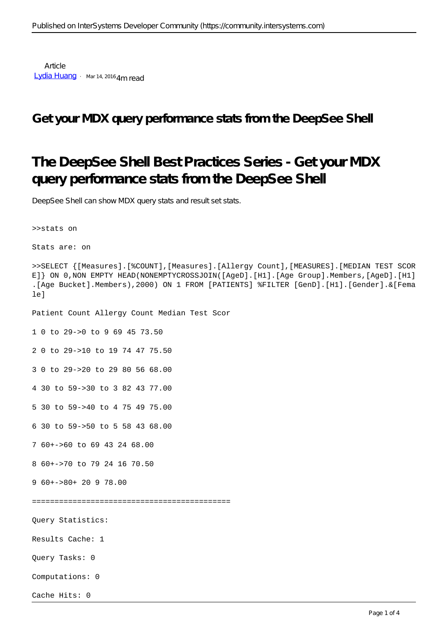**Article** [Lydia Huang](https://community.intersystems.com/user/lydia-huang) · Mar 14, 2016 4m read

### **Get your MDX query performance stats from the DeepSee Shell**

# **The DeepSee Shell Best Practices Series - Get your MDX query performance stats from the DeepSee Shell**

DeepSee Shell can show MDX query stats and result set stats.

>>stats on

```
Stats are: on
```

```
>>SELECT {[Measures].[%COUNT],[Measures].[Allergy Count],[MEASURES].[MEDIAN TEST SCOR
E]} ON 0,NON EMPTY HEAD(NONEMPTYCROSSJOIN([AgeD].[H1].[Age Group].Members,[AgeD].[H1]
.[Age Bucket].Members),2000) ON 1 FROM [PATIENTS] %FILTER [GenD].[H1].[Gender].&[Fema
le]
```
Patient Count Allergy Count Median Test Scor

1 0 to 29->0 to 9 69 45 73.50

2 0 to 29->10 to 19 74 47 75.50

3 0 to 29->20 to 29 80 56 68.00

4 30 to 59->30 to 3 82 43 77.00

5 30 to 59->40 to 4 75 49 75.00

6 30 to 59->50 to 5 58 43 68.00

7 60+->60 to 69 43 24 68.00

8 60+->70 to 79 24 16 70.50

9 60+->80+ 20 9 78.00

============================================

Query Statistics:

Results Cache: 1

Query Tasks: 0

Computations: 0

Cache Hits: 0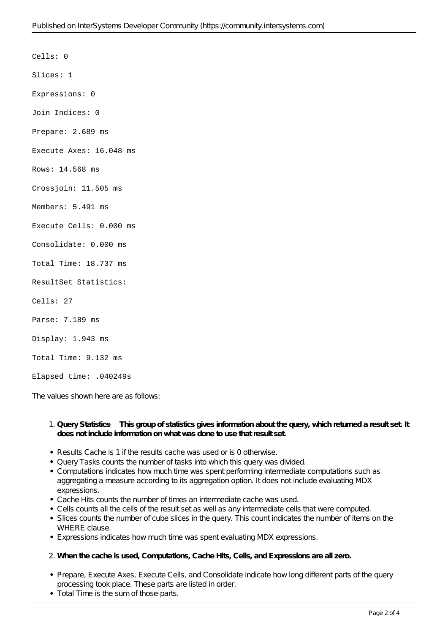Cells: 0 Slices: 1 Expressions: 0 Join Indices: 0 Prepare: 2.689 ms Execute Axes: 16.048 ms Rows: 14.568 ms Crossjoin: 11.505 ms Members: 5.491 ms Execute Cells: 0.000 ms Consolidate: 0.000 ms Total Time: 18.737 ms ResultSet Statistics: Cells: 27 Parse: 7.189 ms Display: 1.943 ms Total Time: 9.132 ms

Elapsed time: .040249s

The values shown here are as follows:

#### 1. **Query Statistics — This group of statistics gives information about the query, which returned a result set. It does not include information on what was done to use that result set.**

- Results Cache is 1 if the results cache was used or is 0 otherwise.
- Query Tasks counts the number of tasks into which this query was divided.
- Computations indicates how much time was spent performing intermediate computations such as aggregating a measure according to its aggregation option. It does not include evaluating MDX expressions.
- Cache Hits counts the number of times an intermediate cache was used.
- Cells counts all the cells of the result set as well as any intermediate cells that were computed.
- Slices counts the number of cube slices in the query. This count indicates the number of items on the WHERE clause.
- Expressions indicates how much time was spent evaluating MDX expressions.

### 2. **When the cache is used, Computations, Cache Hits, Cells, and Expressions are all zero.**

- Prepare, Execute Axes, Execute Cells, and Consolidate indicate how long different parts of the query processing took place. These parts are listed in order.
- Total Time is the sum of those parts.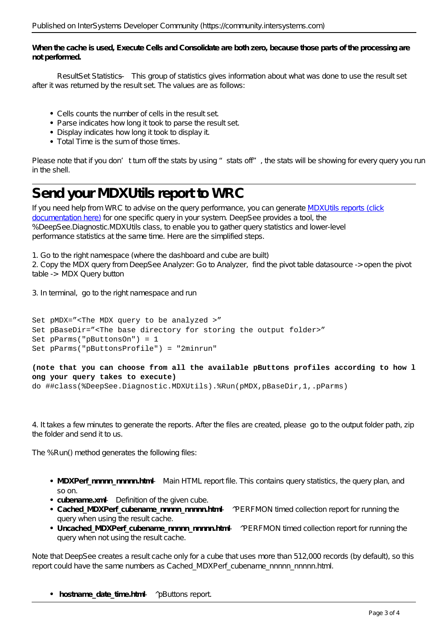**When the cache is used, Execute Cells and Consolidate are both zero, because those parts of the processing are not performed.**

 ResultSet Statistics — This group of statistics gives information about what was done to use the result set after it was returned by the result set. The values are as follows:

- Cells counts the number of cells in the result set.
- Parse indicates how long it took to parse the result set.
- Display indicates how long it took to display it.
- Total Time is the sum of those times.

Please note that if you don't turn off the stats by using "stats off", the stats will be showing for every query you run in the shell.

## **Send your MDXUtils report to WRC**

If you need help from WRC to advise on the query performance, you can generate MDXU tils reports (click [documentation here\)](http://docs.intersystems.com/cache20152/csp/docbook/DocBook.UI.Page.cls?KEY=D2IMP_mdxutils#D2IMP_C38208) for one specific query in your system. DeepSee provides a tool, the %DeepSee.Diagnostic.MDXUtils class, to enable you to gather query statistics and lower-level performance statistics at the same time. Here are the simplified steps.

1. Go to the right namespace (where the dashboard and cube are built) 2. Copy the MDX query from DeepSee Analyzer: Go to Analyzer, find the pivot table datasource -> open the pivot table -> MDX Query button

3. In terminal, go to the right namespace and run

```
Set pMDX="<The MDX query to be analyzed >"
Set pBaseDir="<The base directory for storing the output folder>"
Set pParms("pButtonsOn") = 1 
Set pParms("pButtonsProfile") = "2minrun"
```
### **(note that you can choose from all the available pButtons profiles according to how l ong your query takes to execute)**

do ##class(%DeepSee.Diagnostic.MDXUtils).%Run(pMDX,pBaseDir,1,.pParms)

4. It takes a few minutes to generate the reports. After the files are created, please go to the output folder path, zip the folder and send it to us.

The %Run() method generates the following files:

- **MDXPerf\_nnnnn\_nnnnn.html** Main HTML report file. This contains query statistics, the query plan, and so on.
- **cubename.xml** Definition of the given cube.
- Cached MDXPerf cubename nnnnn nnnnn.html ^PERFMON timed collection report for running the query when using the result cache.
- Uncached\_MDXPerf\_cubename\_nnnnn\_nnnnn.html ^PERFMON timed collection report for running the query when not using the result cache.

Note that DeepSee creates a result cache only for a cube that uses more than 512,000 records (by default), so this report could have the same numbers as Cached\_MDXPerf\_cubename\_nnnnn\_nnnnn.html.

• hostname\_date\_time.html — ^pButtons report.